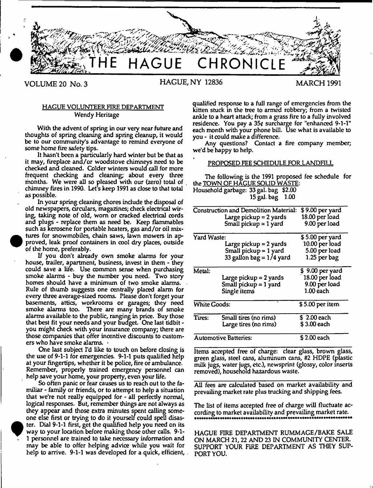

•

# HAGUE VOLUNTEER FIRE DEPARTMENT Wendy Heritage

With the advent of spring in our very near future and thoughts of spring cleaning and spring cleanup, it would be to our community's advantage to remind everyone of some home fire safety tips.

It hasn't been a particularly hard winter but be that as it may, fireplace and/or woodstove chimneys need to be checked and cleaned. Colder winters would call for more frequent checking and cleaning; about every three months. We were all so pleased with our (zero) total of chimney fires in 1990. Let's keep 1991 as close to that total as possible.

In your spring cleaning chores include the disposal of old newspapers, circulars, magazines; check electrical wiring, taking note of old, worn or cracked electrical cords and plugs - replace them as need be. Keep flammables such as kerosene for portable heaters, gas and/or oil mix tures for snowmobiles, chain saws, lawn mowers in approved, leak proof containers in cool dry places, outside of the home, preferably.

If you don't already own smoke alarms for your house, trailer, apartment, business, invest in them - they could save a life. Use common sense when purchasing smoke alarms - buy the number you need. Two story homes should have a minimum of two smoke alarms. Rule of thumb suggests one centrally placed alarm for every three average-sized rooms. Please don't forget your basements, attics, workrooms or garages; they need smoke alarms too. There are many brands of smoke alarms available to the public, ranging in price. Buy those that best fit your needs and your budget. One last tidbit you might check with your insurance company; there are those companies that offer incentive discounts to customers who have smoke alarms. ■

One last subject I'd like to touch on before closing is the use of 9-1-1 for emergencies. 9-1-1 puts qualified help at your fingertips, whether it be police, fire or ambulance. Remember, properly trained emergency personnel can help save your home, your property, even your life.

So often panic or fear causes us to reach out to the familiar - family or friends, or to attempt to help a situation that we're not really equipped for - all perfectly normal, logical responses. But, remember things are not always as they appear and those extra minutes spent calling someone else first or trying to do it yourself could spell disas-  $\begin{array}{c}\n\bullet \text{ te} \\
\bullet \text{ w} \\
1 \\
\text{ m}\n\end{array}$  ter. Dial 9-1-1 first, get the qualified help you need on its way to your location before making those other calls. 9-1- . 1 personnel are trained to take necessary information and may be able to offer helping advice while you wait for help to arrive. 9-1-1 was developed for a quick, efficient,

qualified response to a full range of emergencies from the kitten stuck in the tree to armed robbery; from a twisted ankle to a heart attack; from a grass fire to a fully involved residence. You pay a 35¢ surcharge for "enhanced 9-1-1" each month with your phone bill. Use what is available to you - it could make a difference.

Any questions? Contact a fire company member; we'd be happy to help.

### PROPOSED FEE SCHEDULE FOR LANDFILL

The following is the 1991 proposed fee schedule for the TOWN OF HAGUE SOLID WASTE: Household garbage: 33 gal. bag \$2.00 15 gal. bag 1.00

| Construction and Demolition Material:<br>\$9.00 per yard |                            |                  |
|----------------------------------------------------------|----------------------------|------------------|
|                                                          | Large pickup = 2 yards     | 18.00 per load   |
|                                                          | Small pickup $= 1$ yard    | 9.00 per load    |
| Yard Waste:                                              |                            | \$5.00 per yard  |
|                                                          | Large pickup = 2 yards     | 10.00 per load   |
|                                                          | Small pickup = 1 yard      | 5.00 per load    |
|                                                          | 33 gallon bag = $1/4$ yard | $1.25$ per bag   |
| Metal:                                                   |                            | \$9.00 per yard  |
|                                                          | Large pickup = 2 yards     | 18.00 per load   |
|                                                          | Small pickup $=$ 1 yard    | 9.00 per load    |
|                                                          | Single items               | 1.00 each        |
| <b>White Goods:</b>                                      |                            | $$5.00$ per item |
| Tires:                                                   | Small tires (no rims)      | \$2.00 each      |
|                                                          | Large tires (no rims)      | \$3.00 each      |
| <b>Automotive Batteries:</b>                             |                            | \$2.00 each      |

Items accepted free of charge: clear glass, brown glass, green glass, steel cans, aluminum cans, #2 HDPE (plastic milk jugs, water jugs, etc.), newsprint (glossy, color inserts removed), household hazardous waste.

All fees are calculated based on market availability and prevailing market rate plus trucking and shipping fees.

The list of items accepted free of charge will fluctuate according to market availability and prevailing market rate.

HAGUE FIRE DEPARTMENT RUMMAGE/BAKE SALE ON MARCH 21,22 AND 23 IN COMMUNITY CENTER. SUPPORT YOUR FIRE DEPARTMENT AS THEY SUP-PORT YOU.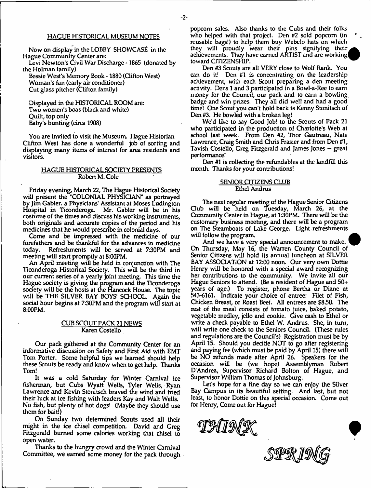### HAGUE HISTORICAL MUSEUM NOTES

Now on display in the LOBBY SHOWCASE in the Hague Community Center are:

Levi Newton's Civil War Discharge -1865 (donated by the Holman family)

Bessie West's Memory Book \* 1880 (Clifton West) Woman's fan (early air conditioner) Cut glass pitcher (Clifton family)

Displayed in the HISTORICAL ROOM are: Two women's boas (black and white) Quilt, top only Baby's bunting (circa 1908)

You are invited to visit the Museum. Hague Historian Clifton West has done a wonderful job of sorting and displaying many items of interest for area residents and visitors.

# HAGUE HISTORICAL SOCIETY PRESENTS Robert M. Cole

Friday evening, March 22, The Hague Historical Society will present the "COLONIAL PHYSICIAN" as portrayed by Jim Gabler. a Physicians' Assistant at Moses Ludington Hospital in Ticonderoga. Mr. Gabler will be in his costume of the times and discuss his working instruments, both originals and accurate copies of the period and his medicines that he would prescribe in colonial days.

Come and be impressed with the medicine of our forefathers and be thankful for the advances in medicine today. Refreshments will be served at 730PM and meeting will start promptly at 8:00PM.

An April meeting will be held in conjunction with The Ticonderoga Historical Society. This will be the third in our current series of a yearly joint meeting. This time the Hague society is giving the program and the Ticonderoga society will be the hosts at the Hancock House. The topic will be THE SILVER BAY BOYS' SCHOOL Again the social hour begins at 730PM and the program will start at 8:00PM.

# CUB SCOUT PACK 21 NEWS Karen Costello

Our pack gathered at the Community Center for an informative discussion on Safety and First Aid with EMT Tom Porter. Some helpful tips we learned should help these Scouts be ready and know when to get help. Thanks Tom!

It was a cold Saturday for Winter Carnival ice fisherman, but Cubs Wyatt Wells, Tyler Wells, Ryan Lawrence and Kevin Stonitsch braved the wind and tried their luck at ice fishing with leaders Kay and Walt Wells. No fish, but plenty of hot dogs! (Maybe they should use them for bait!)

On Sunday two determined Scouts used all their might in the ice chisel competition. David and Greg Fitzgerald burned some calories working that chisel to open water.

Thanks to the hungry crowd and the Winter Carnival Committee, we earned some money for the pack through popcorn sales. Also thanks to the Cubs and their folks who helped with that project. Den #2 sold popcorn (in reusable bags!) to help them buy Webelo hats on which they will proudly wear their pins signifying their achievements. They have earned ARTIST and are working| toward CITIZENSHIP.

Den #/3 Scouts are all VERY close to Wolf Rank. You can do it! Den #1 is concentrating on the leadership achievement, with each Scout preparing a den meeting activity. Dens 1 and 3 participated in a Bowl-a-Ree to earn money for the Council, our pack and to earn a bowling badge and win prizes. They all did well and had a good time! One Scout you can't hold back is Kenny Stonitsch of Den #3. He bowled with a broken leg!

We'd like to say Good Job! to the Scouts of Pack 21 who participated in the production of Charlotte's Web at school last week. From Den #2, Thor Gautreau, Nate Lawrence, Craig Smith and Chris Frasier and from Den #1, Tavish Costello, Greg Fitzgerald and James Jones — great performance!

Den #1 is collecting the refundables at the landfill this month. Thanks for your contributions!

### SENIOR CITIZENS CLUB Ethel Andrus

The next regular meeting of the Hague Senior Gtizens Club will be held on Tuesday, March 26, at the Community Center in Hague, at 130PM. There will be the customary business meeting, and there will be a program on The Steamboats of Lake George. Light refreshments will follow the program.

And we have a very special announcement to make. ' On Thursday, May 16, the Warren County Council of Senior Gtizens will hold its annual luncheon at SILVER BAY ASSOCIATION at 12:00 noon. Our very own Dottie Henry will be honored with a special award recognizing her contributions to the community. We invite all our Hague Seniors to attend. (Be a resident of Hague and 50+ years of age.) To register, phone Bertha or Diane at 543-6161. Indicate your choice of entree: Filet of Fish, Chicken Breast, or Roast Beef. All entrees are \$830. The rest of the meal consists of tomato juice, baked potato, vegetable medley, jello and cookie. Give cash to Ethel or write a check payable to Ethel W. Andrus. She, in turn, will write one check to the Seniors Council. (These rules and regulations are the Council's) Registration must be by April 15. Should you decide NOT to go after registering and paying fee (which must be paid by April 15) there wifi be NO refunds made after April 26. Speakers for the occasion will be (we hope) Assemblyman Robert D'Andrea, Supervisor Richard Bolton of Hague, and Supervisor William Thomas of Johnsburg.

Let's hope for a fine day so we can enjoy the Silver Bay Campus in its beautiful setting. And last, but not least, to honor Dottie on this special occasion. Come out for Henry, Come out for Hague!

THUNG

STPT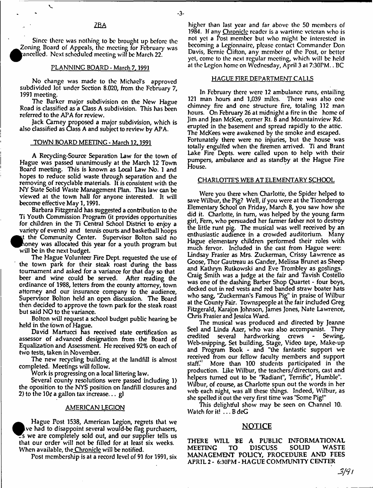Since there was nolhing to be brought up before the  $\bullet$ Zoning Board of Appeals, the meeting for February was ancelled. Next scheduled meeting will be March 22.

#### PLANNING BOARD - March 7.1991

No change was made to the *michael's* approved<br>livided lot under Section 8.020 from the February 7 subdivided for under Section 8.020, from the February 7,

1991 meeting.<br>The Barker major subdivision on the New Hague Road is classified as a Class A subdivision. This has been referred to the APA for review.

Jack Carney proposed a major subdivision, which is Jack Camey proposed a major subdivision, which is also classified as Oasp A and subject to review by APA.

#### TOWN BOARD MEETING - March 12.1991

A Recyding-Source Separation Law for the town of Board meeting. This is known as Local Law No. 1 and hopes to reduce solid waste through separation and the removing of recyclable materials. It is consistent with the NY State Solid Waste Management Plan. This law can be viewed at the town hall for anyone interested. It will become effective May 1, 1991.

Barbara Fitzgerald has suggested a contribution to the Ti Youth Commission Program (it provides opportunities for children in the Ti Central School District to enjoy a variety of events) and tennis courts and basketball hoops t the Community Center. Supervisor Bolton said no  $\begin{array}{c} \bullet \\ \bullet \\ \bullet \end{array}$ t the Community Center. Supervisor Bolton said no whey westermoduced this year for a youth program but will be in the next budget.<br>The Hague Volunteer Fire Dept. requested the use of

the town park for their steak roast during the bass tournament and asked for a variance for that day so that beer and wine could be served. After reading the ordinance of 1988, letters from the county attorney, town attorney and our insurance company to the audience, Supervisor Bolton held an open discussion. The Board supervisor Bolton here an open discussion. The Board then decided to approve the town park for the steak roast.

but said 110 to the variance. Bolton will request a school budget public hearing be

held in the town of Hague.<br>David Martucci has received state certification as assessor of advanced designation from the Board of Equalization and Assessment. He received 92% on each of two tests, taken in November.

the tests, there is no verified. The new recycling building at the landfill is almost completed. Meetings will follow.

Several county resolutions were passed including 1) the oposition to the NYS position on landfill closures and the oposition to the NYS position on landing closures and  $2$ ) to the  $10a$  a pallon tax increase  $a$ 2) to the 10c a gallon tax increase... gl

#### AMERICAN LEGION

 $\sum_{\substack{\text{th}\\ w}}$  Hague Post 1538, American Legion, regrets that we s we are completely sold out, and our supplier tells us. at our order will not be filled for at least six weeks When available, the Chronicle will be notified.

When available, the Chronicle will be notified. Post membership is at a record level of 91 for 1991, six higher than last year and far above the 50 members of 1984. If any Chronicle reader is a wartime veteran who is not yet a Post member but who might be interested in becoming a Legionnaire, please contact Commander Don Davis, Bemie Clifton, any member of the Post, or better yet, come to the next regular meeting, which will be held at the Legion home on Wednesday, April 3 at 7:30PM.. BC

#### HAGUE FIRE DEPARTMENT CALLS

In February there were 12 ambulance runs, entailing 121 man hours and 1,039 miles. There was also one chimney fire and one structure fire, totaling 112 man hours. On February 26 at midnight a fire in the home of Jim and Jean McKee, comer Rt. 8 and Mountainview Rd. erupted in the basement and spread rapidly to the attic. The McKees were awakened by the smoke and escaped. Fortunately there were no injuries, but the house was totally engulfed when the firemen arrived. Ti and Brant Lake Fire Depts. were called upon to help with their pumpers, ambulance and as standby at the Hague Fire House.

#### CHARLOTTE'S WEB AT ELEMENTARY SCHOOL

Were you there when Charlotte, the Spider helped to save Wilbur, the Pig? Well, if you were at the Ticonderoga Elementary School on Friday, March 8, you saw how she did it. Charlotte, in turn, was helped by the young farm girl, Fern, who persuaded her farmer father not to destroy the little runt pig. The musical was well received by an enthusiastic audience in a crowded auditorium. Many Hague elementary children performed their roles with much fervor. Included in the cast from Hague were: Lindsay Frasier as Mrs. Zuckerman, Crissy LawTence as Goose, Thor Gautreau as Gander, Melissa Brunet as Sheep and Kathryn Rutkowski and Eve Trombley as goslings. Craig Smith w'as a judge at the fair and Tavish Costello was one of the dashing Barber Shop Quartet - four boys, decked out in red vests and red banded straw boater hats who sang, "Zuckerman's Famous Pig" in praise of Wilbur at the County Fair. Townspeople at the fair included Greg Fitzgerald, Karajon Johnson, James Jones, Nate Lawrence, Chris Frasier and Jessica Ward.

The musical was produced and directed by Jeanne Seel and Linda Azer, who was also accompanist. They<br>credited several hardworking crews - Sewing, credited several hardworking crews Web-snipping, Set building, Stage, Video tape, Make-up and Program Book - and "the fantastic support we received from our fellow faculty members and support<br>staff." More than 100 students participated in the More than 100 students participated in the production. Like Wilbur, the teachers/directors, cast and helpers turned out to be 'Radiant", Terrific", Humble". Wilbur, of course, as Charlotte spun out the words in her web each night, was all these things. Indeed, Wilbur, as she spelled it out the very first time was 'Some Pig!"

This delightful show may be seen on Channel 10. Watch for it! ...B deG

# NOTICE

THERE WILL BE A PUBLIC INFORMATIONAL MEETING TO DISCUSS SOUD WASTE MANAGEMENT POLICY, PROCEDURE AND FEES APRIL 2 - 6:30PM - HAGUE COMMUNITY CENTER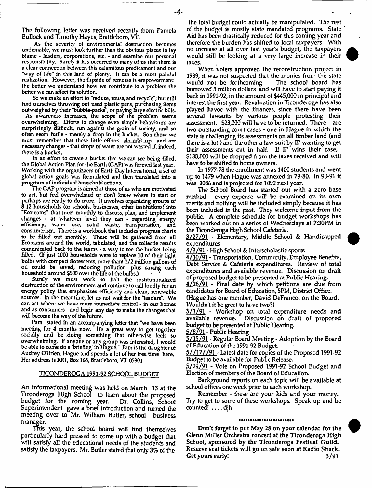The following letter was received recently from Pamela Bullock and Timothy Hayes, Brattleboro, VT.

As the severity of environmental destruction becomes undeniable, we must look further than the obvious places to lay blame - leaders, corporations, etc. - and examine our personal responsibility. Surely it has occurred to many of us that there is a clear connection between this calamitous predicament and our "way of life" in this land of plenty. It can be a most painful realization. However, the flipside of remorse is empowerment: the better we understand how we contribute to a problem the better we can affect its solution.

So we make an effort to "reduce, reuse, and recycle"; but still find ourselves throwing out used plastic pens, purchasing items outweighed by their "bubble-packs", or paying large electric bills.

As awareness increases, the scope of the problem seems overwhelming. Efforts to change even simple behaviours are surprisingly difficult, run against the grain of society, and so often seem futile - merely a drop in the bucket. Somehow we must remember that these little efforts do add up and are necessary changes - that drops of water are not wasted if, indeed, there is a bucket.

In an effort to create a bucket that we can see being filled, the Global Action Plan for the Earth (GAP) was formed last year. Working with the organizaers of Earth Day International, a set of global action goals was formulated and then translated into a progrtam of individual household actions.

The GAP program is aimed at those of us who are motivated to act, but feel overwhelmed or don't know where to start or perhaps are ready to do more. It involves organizing groups of o-12 households (or schools, businesses, other institutions) into "Ecoteams" that meet monthly to discuss, plan, and implement changes - at whatever level they can - regarding energy efficiency, water use, solid waste, transportation, and consumerism. There is a workbook that includes progress charts to be rilled out monthly. These will be gathered from all Ecoteams around the world, tabulated, and the collectie results comunicated back to the teams - a way to see the bucket being filled. (If just 1000 households were to replace 10 of their light bulbs with compact florescents, more thant 1/2 million gallons of oil could be saved, reducing pollution, plus saving each household around \$500 over the lire of the bulbs.)

Surely we must work to halt the institutionalized destruction of the environment and continue to call loudly for an energy policy that emphasizes efficiency and clean, renewable sources. In the meantime, let us not wait for the "leaders". We can act where we have more immediate control - in our homes and as consumers - and begin any day to make the changes that will become the way of the future.

Pam stated in an accompanying letter that "we have been meeting for 4 months now. It's a great way to get together socially and be .doing something that otherwise feels so overwhelming. If anyone or any group was interested, I would be able to come do a briefing' in Hague." Pam is the daughter of Audrey O'Brien, Hague and spends a lot of her free time here. Her address is RR1, Box 168, Brattleboro, VT 0S301

### TICONDEROGA 1991-92 SCHOOL BUDGET

An informational meeting was held on March 13 at the Ticonderoga High School to leam about the proposed budget for the coming year. Dr. Collins, School Superintendent gave a brief introduction and fumed the meeting over to Mr. William Butler, school business manager.

This year, the school board will find themselves particularly hard pressed to come up with a budget that will satisfy all the educational needs of the students and satisfy the taxpayers. Mr. Butler stated that only 3% of the

the tolal budget could actually be manipulated. The rest of the budget is mostly state mandated programs. State ' Aid has been drastically reduced for this coming year and therefore the burden has shifted to local taxpayers. With no increase at all over last year's budget, the taxpayers would still be looking at a very large increase in their taxes.

When voters approved the reconstruction project in 1989, it was not suspected that the monies from the state would not be forthcoming. The school board has borrowed 3 million dollars and will have to start paying it back in 1991-92, in the amount of \$445,000 in principal and interest the first year. Revaluation in Ticonderoga has also played havoc with the finances, since there have been several lawsuits by various people protesting their assessment. \$23;000 will have to be returned. There are two outstanding court cases - one in Hague in which the state is challenging its assessments on all timber land (and there is a lot!) and the other a law suit by  $I\!P$  wanting to get their assessments cut in half. If IP wins their case, \$188,000 will be dropped from the taxes received and will have to be shifted to home owners.

In 1977-78 the enrollment was 1400 students and went up to 1479 when Hague was annexed in 79-80. In 90-91 it was 1086 and is projected for 1092 next year.

The School Board has started out with a zero base method - every expense will be examined on its own merits and nothing will be included simply because it has been included in the past. They welcome input from the public. A complete schedule for budget workshops has been worked out on a series of Wednesdays at 7:30PM in the Ticonderoga High School Cafeteria.

3/27/91 - Elementary, Middle School & Handicapped expenditures

4/3/91 - High School & Interscholastic sports

4/10/91 - Transportation, Community, Employee Benefits, Debt Service & Cafeteria expenditures. Review of total expenditures and available revenue. Discussion on draft of proposed budget to be presented at Public Hearing.

4/26/91 - Final date by which petitions are due from candidates for Board of Education, 5PM, District Office.

(Hague has one member, David DeFranco, on the Board. Wouldn't it be great to have two?)

5/1/91 - Workshop on total expenditure needs and available revenue. Discussion on draft of proposed budget to be presented at Public Hearing.

5/8/91 - Public Hearing

5/15/91 - Regular Board Meeting - Adoption by the Board of Education of the 1991-92 Budget.

5//17//91 - Latest date for copies of the Proposed 1991-92 Budget to be available for Public Release.

5/29/91 - Vote on Proposed 1991-92 School Budget and Election of members of the Board of Education.

Background reports on each topic will be available at school offices one week prior to each workshop.

Remember - these are your kids and your money. Try to get to some of these workshops. Speak up and be  $counted!$   $\dots$  djh

#### \*\*\*\*\*\*\*\*\*\*\*\*\*\*\*\*\*\*\*

Don't forget to put May 28 on your calendar for the Glenn Miller Orchestra concert at the Ticonderoga High School, sponsored by the Ticonderoga Festival Guild, Reserve seat tickets will go on sale soon at Radio Shack. Get yours early! 3/91

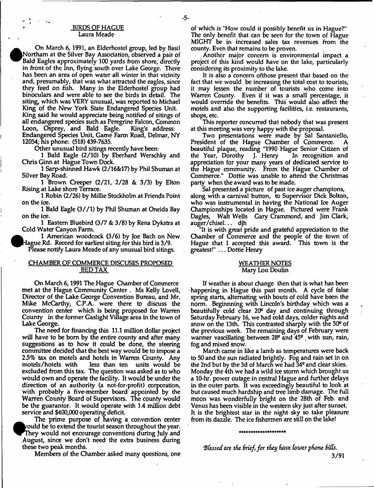### BIRDS OF HAGUE Laura Meade

On March 6,1991, an Elderhostel group, led by Basil Northam at the Silver Bay Association, observed a pair of Bald Eagles approximately 100 yards from shore, directly in front of the Inn, flying south over Lake George. There has been an area of open water all winter in that vicinity and, presumably, that was what attracted the eagles, since they feed on fish. Many in the Elderhostel group had binoculars and were able to see the birds in detail. The siting, which was VERY unusual, was reported to Michael King of the New York State Endangered Species Unit. King said he would appreciate being notified of sitings of all endangered species such as Peregrine Falcon, Common<br>Loon, Osprey, and Bald Eagle. King's address: Loon, Osprey, and Bald Eagle. Endangered Spedes Unit, Game Farm Road, Delmar, NY 12054; his phone: (518)439-7635.

Other unusual bird sitings recently have been:

1 Bald Eagle (2/10) by Eberhard Werschky and Chris Ginn at Hague Town Dock.

1 Sarp-shinned Hawk (2/16&17) by Phil Shuman at Silver Bay Road.

1 Brown Creeper (2/21, 2/28 & 3/3) by Elton Rising at Lake shore Terrace.

1 Robin (2/26) by Millie Stockholm at Friends Point on the ice.

1 Bald Eagle (3//1) by Phil Shuman at Oneida Bay on the ice.

1 Eastern Bluebird (3/7 & 3/8) by Rena Dykstra at Cold Water Canyon Farm.

1 American woodcock (3/6) by Joe Bach on New Hague Rd. Record for earliest siting for this bird is 3/9. Please notify Laura Meade of any unusual bird sitings.

# CHAMBER OF COMMERCE DISCUSES PROPOSED BED TAX

On March 6,1991 The Hague Chamber of Commerce met at the Hague Community Center . Ms Kelly Lovell, Director of the Lake George Convention Bureau, and Mr. Mike McCarthy, C.P.A. were there to discuss the convention center which is being proposed for Warren Counfy in the former Gaslight Village area in the town of Lake George.

The need for financing this 11.1 million dollar project will have to be born by the entire county and after many suggestions as to how it could be done, the steering committee decided that the best way would be to impose a 25% tax on motels and hotels in Warren County. Any motels/hotels with less than ten units would be excluded from this tax. The question was asked as to who would own and operate the facility. It would be under the direction of an authority (a not-for-profit) corporation, with probably a five-member board appointed by the Warren County Board of Supervisors. The county would be the guarantor. It would operate with 1.4 million debt service and \$400,000 operating deficit.

The prime purpose of having a convention center  $\bm v$  ould be to extend the tourist season throughout the year. They would not encourage conventions during July and August, since we don't need the extra business during these two peak months.

Members of the Chamber asked many questions, one

of which is "How could it possibly benefit us in Hague?" The only benefit that can be seen for the town of Hague MIGHT be in increased sales tax revenues from the county. Even that remains to be proven.

Another major concern is environmental impact a project of this kind would have on the lake, particularly considering its proximity to the lake.

It is also a concern ofthose present that based on the fact that we would be increasing the total cost to tourists, it may lessen the number of tourists who come into Warren County. Even if it was a small percentage, it would override the benefits. This would also affect the motels and also the supporting facilities, i.e. restaurants, shops, etc.

This reporter concurred that nobody that was present at this meeting was very happy with the proposal.

Two presentations were made by Sal Santaniello, President of the Hague Chamber of Commerce. beautiful plaque, reading "1990 Hague Senior Gtizen of the Year, Dorothy J. Henry In recognition and appreciation for your many years of dedicated service to the Hague community. From the Hague Chamber of Commerce." Dottie was unable to attend the Christmas party when the award was to be made.

Sal presented a picture of past ice auger champions, along with a carnival button, to Supervisor Dick Bolton, who was instrumental in having the National Ice Auger Championships located in Hague. Pictured were Frank Dagles, Walt Wells Gary Crammond, and Jim Clark, auger/chisel... djh

"It is with great pride and grateful appreciation to the Chamber of Commerce and the people of the town of Hague that I accepted this award. This town is the greatest!" ... Dottie Henry

### WEATHER NOTES Mary Lou Doulin

If weather is about change then that is what has been happening in Hague this past month. A cycle of false spring starts, alternating with bouts of cold have been the norm. Beginnning with Lincoln's birthday which was a beautifully cold clear 20° day and continuing through Saturday February 16, we had cold days, colder nights and snow on the 13th. This contrasted sharply with the 50" of the previous week. The remaining days of February were warmer vascillating between 28<sup>°</sup> and 45<sup>°</sup> with sun, rain, fog and mixed snow.

March came in like a lamb as temperatures were back to 50 and the sun radiated brightly. Fog and rain set in on the 2nd but by the 3d of March we had 34" and clear skies. Monday the 4th we had a wild ice storm which brought us a 10-hr. power outage in central Hague and further delays in the outer parts. It was exceedingly beautiful to look at but caused much hardship and tree limb damage. The full moon was wonderfully bright on the 28th of Feb. and Venus has been visible in the western sky just after sunset. It is the brightest star in the night sky so take pleasure from its dazzle. The ice fishermen are still on the lake!

#### \*\*\*\*\*\*\*\*\*\*\*\*\*\*\*\*\*\*\*\*

*'Blessed are the Brief, for they have [outer phone BitCs.*

3/91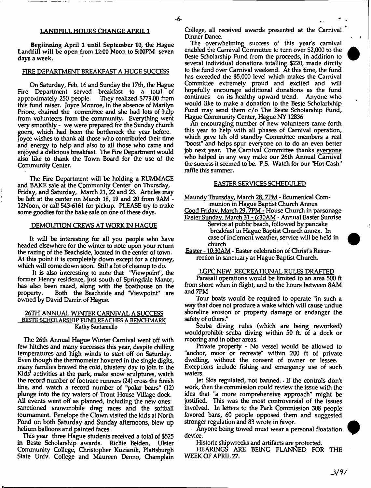#### LANDFILL HOURS CHANGE APRIL 1

Begiinning April 1 until September 10, the Hague Landfill will be open from 12:00 Noon to 5:00PM seven days a week.

### FIRE DEPARTMENT BREAKFAST A HUGE SUCCESS

On Saturday, Feb. 16 and Sunday the 17th, the Hague Fire Department served breakfast to a total of approximately 250 people. They realized \$779.00 from this fund raiser. Joyce Monroe, in the absence of Marilyn Priore, chaired the committee and she had lots of help from volunteers from the community. Everything went very smoothly - we were prepared for the Sunday church goers, which had been the bottleneck the year before. Joyce wishes to thank all those who contributed their time and energy to help and also to all those who came and enjoyed a delicious breakfast. The Fire Department would also like to thank the Town Board for the use of the Community Center.

The Fire Department will be holding a RUMMAGE and BAKE sale at the Community Center on Thursday, Friday, and Saturday, March 21,22 and 23. Articles may be left at the center on March 18, 19 and 20 from 9AM - 12Noon, or call 543-6161 for pickup. PLEASE try to make some goodies for the bake sale on one of these days.

#### DEMOLITION CREWS AT WORK IN HAGUE

It will be interesting for all you people who have headed elsewhere for the winter to note upon your return the razing of the Beachside, located in the center of town. At this point it is completely down except for a chimney, which will come down soon. Still a lot of cleanup to do.

It is also interesting to note that "Viewpoint", the former Henry residence, just south of Springdale Manor, has also been razed, along with the boathouse on the property. Both the Beachside and 'Viewpoint" are owned by David Darrin of Hague.

# 26TH ANNUAL WINTER CARNIVAL A SUCCESS BESTE SCHOLARSHIP FUND REACHES A BENCHMARK Kathy SantanieUo

The 26th Annual Hague Winter Carnival went off with few hitches and many successes this year, despite chilling temperatures and high winds to start off on Saturday. Even though the thermometer hovered in the single digits, many families braved the cold, blustery day to join in the Kids' activities at the park, make snow sculptures, watch the record number of footrace runners (24) cross the finish line, and watch a record number of "polar bears" (12) plunge into the icy waters of Trout House Village dock. All events went off as planned, including the new ones: sanctioned snowmobile drag races and the softball tournament. Penelope the Gown visited the kids at North Pond on both Saturday and Sunday afternoons, blew up helium balloons and painted faces.

This year three Hague students received a total of \$525 in Beste Scholarship awards. Richie Belden, Ulster Community College, Christopher Kuzianik, Plattsburgh State Univ. College and Maureen Denno, Champlain College, all received awards presented at the Carnival Dinner Dance.

The overwhelming success of this year's carnival enabled the Carnival Committee to turn over \$2,000 to the Beste Scholarship Fund from the proceeds, in addition to several individual donations totalling \$220, made dirctly to the fund over Carnival weekend. At this time, the fund has exceeded the \$5,000 level which makes the Carnival Committee extremely proud and excited and will hopefully encourage additional donations as the fund continues on its healthy upward trend. Anyone who would like to make a donation to the Beste Scholarlxhip Fund may send them c/o The Beste Scholarship Fund, Hague Community Center, Hague NY 12836

An encouraging number of new volunteers came forth this year to help with all phases of Carnival operation, which gave teh old standby Committee members a real "boost" and helps spur everyone on to do an even better job next year. The Carnival Committee thanks everyone who helped in any way make our 26th Annual Carnival the success it seemed to be. P.S. Watch for our "Hot Cash" raffle this summer.

#### EASTER SERVICES SCHEDULED

Maundy Thursday. March 28.7PM - Ecumenical Communion in Hague Baptist Church Annex

Good Friday. March 29.7PM - House Church in parsonage

Easter Sunday. March 31 - 6:30AM - Annual Easter Sunrise Service at public beach, followed by pancake breakfast in Hague Baptist Church annex. In case of inclement weather, service will be held in church

.Easter - 10:30AM- Easter celebration of Christ's Resurrection in sanctuary at Hague Baptist Church.

#### LGPC NEW RECREATIONAL RULES DRAFTED

Parasail operations would be limited to an area 500 ft from shore when in flight, and to the hours between 8AM and 7PM

Tour boats would be required to operate "in such a way that does not produce a wake which will cause undue shoreline erosion or property damage or endanger the safety of others."

Scuba diving rules (which are being reworked) would prohibit scuba diving within 50 ft. of a dock or mooring and in other areas.

Private property - No vessel would be allowed to "anchor, moor or recreate" within 200 ft of private dwelling, without the consent of owner or lessee. Exceptions include fishing and emergency use of such waters.

Jet Skis regulated, not banned. If the controls don't work, then the commission could review the issue with the idea that "a more comprehensive approach" might be justified. This was the most controversial of the issues involved. In letters to the Park Commission 308 people favored bans, 60 people opposed them and suggested stronger regulation and 83 wrote in favor.

Anyone being towed must wear a personal floatation device.

Historic shipwrecks and artifacts are protected.

HEARINGS ARE BEING PLANNED FOR THE WEEK OF APRIL 27.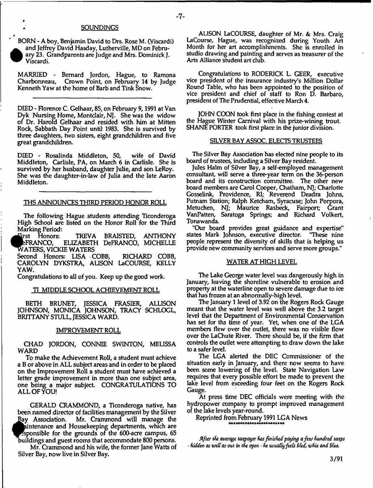#### **SOUNDINGS**

BORN - A boy, Benjamin David to Drs. Rose M. (Viscardi)  $\bullet$  and Jeffrey David Hasday, Lutherville, MD on February 23. Grandparents are Judge and Mrs. Dominick J. Viscardi.

»

*4*

MARRIED - Bernard Jordon, Hague, to Ramona Crown Point, on February 14 by Judge Kenneth Yaw at the home of Barb and Tink Snow.

DEED - Florence C. Gelhaar, 85, on February 9,1991 at Van Dyk Nursing Home, Montclair, NJ. She was the widow of Dr. Harold Gelhaar and resided with him at Mitten Rock, Sabbath Day Point until 1983. She is survived by three daughters, two sisters, eight grandchildren and five great grandchildren.

DIED - Rosalinda Middleton, 50, wife of David Middleton, Carlisle, PA, on March 6 in Carlisle. She is survived by her husband, daughter Julie, and son LeRoy. She was the daughter-in-law of Julia and the late Aaron Middleton.

# THS ANNOUNCES THIRD PERIOD HONOR ROLL

The following Hague students attending Ticonderoga High School are listed on the Honor Roll for the Third Marking Period:<br>First Honors:

irst Honors: TREVA BRAISTED, ANTHONY<br>eFRANCO, ELIZABETH DeFRANCO, MICHELLE ELIZABETH DeFRANCO, MICHELLE WATERS, VICKIE WATERS

Second Honors: LISA COBB, RICHARD COBB, CAROLYN DYKSTRA, ALISON LaCOURSE, KELLY YAW.

Congratulations to all of you. Keep up the good work.

### TI MIDDLE SCHOOL ACHIEVEMENT ROLL

BETH BRUNET, JESSICA FRASIER, ALLISON JOHNSON, MONICA JOHNSON, TRACY SCHLOGL, BRITTANY STULL, JESSICA WARD.

### IMPROVEMENT ROLL

CHAD JORDON, CONNIE SWINTON, MELISSA WARD

To make the Achievement Roll, a student must achieve a B or above in ALL subject areas and in order to be placed on the Improvement Roll a student must have achieved a letter grade improvement in more than one subject area, one being a major subject. CONGRATULATIONS TO ALL OF YOU!

GERALD CRAMMOND, a Ticonderoga native, has been named director of facilities management by the Silver Bay Association. Mr. Crammond will manage the aintenance and Housekeeping departments, which are sponsible for the grounds of the 600-acre campus, 65 buildings and guest rooms that accommodate 800 persons.

Mr. Crammond and his wife, the former Jane Watts of Silver Bay, now live in Silver Bay.

ALISON LaCOURSE, daughter of Mr. & Mrs. Craig La Course, Hague, was recognized during Youth Art Month for her art accomplishments. She is enrolled in studio drawing and painting and serves as treasurer of the Arts Alliance student art club.

Congratulations to RODERICK L. GEER, executive vice president of the insurance industry's Million Dollar Round Table, who has been appointed to the position of vice president and chief of staff to Ron D. Barbaro, president of The Prudential, effective March 4.

JOHN COON took first place in the fishing contest at the Hague Winter Carnival with his prize-wining trout SHANE PORTER took first place in the junior division.

### SILVER BAY ASSOC. ELECTS TRUSTEES

The Silver Bay Association has elected nine people to its board of trustees, including a Silver Bay resident.

Jules Halm of Silver Bay, a self-employed management consultant, will serve a three-year term on the 36-person board and its construction committee. The other new board members are Carol Cooper, Chatham, NJ; Charlotte Gosselink, Providence, RI; Reverend Deadra Johns, Putnam Station; Ralph Ketcham, Syracuse; John Porpora, Metuchen, NJ; Maurice Rasbeck, Fairport; Grant VanPatten, Saratoga Springs; and Richard Volkert, Tonawanda.

"Our board provides great guidance and expertise" states Mark Johnson, executive director. people represent the diversity of skills that is helping us provide new community services and serve more groups."

#### WATER AT HIGH LEVEL

The Lake George water level was dangerously high in January, leaving the shoreline vulnerable to erosion and property at the waterline open to severe damage due to ice that has frozen at an abnormally-high level.

The January 1 level of 3.92 on the Rogers Rock Gauge meant that the water level was well above the 3.2 target level that the Department of Environmental Conservation has set for ths time of year. Yet, when one of the LGA members flew over the outlet, there was no visible flow over the LaChute River. There should be, if the firm that controls the outlet were attempting to draw down the lake to a safer level.

The LGA alerted the DEC Commissioner of the situation early in January, and there now seems to have been some lowering of the level. State Navigation Law requires that every possible effort be made to prevent the lake level from exceeding four feet on the Rogers Rock Gauge.

At press time DEC officials were meeting with the hydropower company to prompt improved management of the lake levels year-round.

Reprinted from February 1991 LGA News

*After the average taxpayer fas finished paying a feu) hundred uu&s ■ hidden as WtU as out in the open* \* *f t usually fce(s Sled, ntfdt and flue.*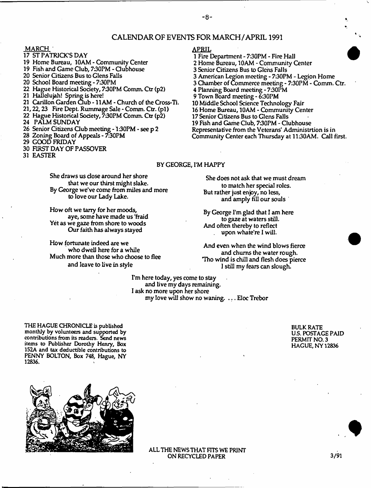# CALENDAR OF EVENTS FOR MARCH/APRIL 1991

MARCH :

- 17 ST PATRICK'S DAY
- 19 Home Bureau, 10AM Community Center 19 Fish and Game Club, 7:30PM - Clubhouse
- 20 Senior Gtizens Bus to Glens Falls
- 20 School Board meeting 7:30PM
- 22 Hague Historical Society, 7:30PM Comm. Ctr (p2)
- 21 Hallelujah! Spring is here!
- 21 Carillon Garden Club 11AM Church of the Cross-Ti.
- 21,22,23 Fire Dept, Rummage Sale Comm. Ctr. (pi)
- 22 Hague Historical Society, 7:30PM Comm. Ctr (p2)
- 24 PALM SUNDAY
- 26 Senior Citizens Club meeting 1:30PM see p 2
- 28 Zoning Board of Appeals 7:30PM
- 29 GOOD FRIDAY
- 30 FIRST DAY OF PASSOVER
- 31 EASIER

# APRIL

1 Fire Department - 730PM - Fire Hall 2 Home Bureau, 10AM - Community Center 3 Senior Citizens Bus to Glens Falls 3 American Legion meeting - 730PM - Legion Home 3 Chamber of Commerce meeting - 7:30PM - Comm. Ctr. 4 Planning Board meeting - 730PM 9 Town Board meeting - 6:30PM 10 Middle School Science Technology Fair 16 Home Bureau, 10AM - Community Center 17 Senior Gtizens Bus to Glens Falls 19 Fish and Game Gub, 730PM - Clubhouse Representative from the Veterans' Administrtion is in Community Center each Thursday at 1130AM. Call first.

# BY GEORGE, I'M HAPPY

She draws us dose around her shore that we our thirst might slake. By George we've come from miles and more to love our Lady Lake.

How oft we tarry for her moods, aye, some have made us 'fraid Yet as we gaze from shore to woods Our faith has always stayed

How fortunate indeed are we who dwell here for a while Much more than those who choose to flee and leave to live in style

She does not ask that we must dream

to match her special roles. But rather just enjoy, no less, and amply fill our souls

By George I'm glad that I am here to gaze at waters still. And often thereby to reflect upon whate're I will.

And even when the wind blows fierce and chums the water rough. Tho wind is chill and flesh does pierce 1 still my fears can slough.

I'm here today, yes come to stay and live my days remaining. I ask no more upon her shore my love will show no waning. ... Eloc Trebor

THE HAGUE CHRONICLE is published monthly by volunteers and supported by contributions from its readers. Send news items to Publisher Dorothy Henry, Box 152A and tax deductible contributions to PENNY BOLTON, Box 748, Hague, NY 12836.





ALL THE NEWS THAT FITS WE PRINT ON RECYCLED PAPER

 $3/91$ 

-8-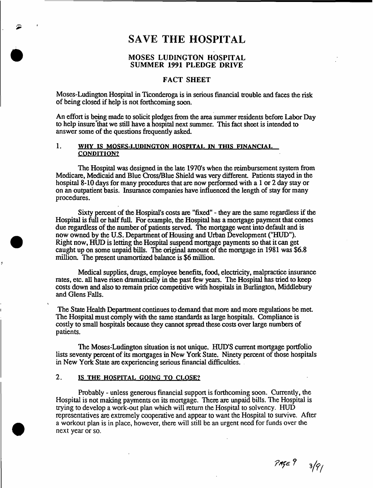# **SAVE THE HOSPITAL**

# MOSES LUDINGTON HOSPITAL SUMMER 1991 PLEDGE DRIVE

# FACT SHEET

Moses-Ludington Hospital in Ticonderoga is in serious financial trouble and faces the risk of being closed if help is not forthcoming soon.

An effort is being made to solicit pledges from the area summer residents before Labor Day to help in sure "that we still have a hospital next summer. This fact sheet is intended to answer some of the questions frequently asked.

# 1. WHY IS MOSES-LUDINGTON HOSPITAL IN THIS FINANCIAL CONDITION?

The Hospital was designed in the late 1970's when the reimbursement system from Medicare, Medicaid and Blue Cross/Blue Shield was very different. Patients stayed in the hospital 8-10 days for many procedures that are now performed with a 1 or 2 day stay or on an outpatient basis. Insurance companies have influenced the length of stay for many procedures.

Sixty percent of the Hospital's costs are "fixed" - they are the same regardless if the Hospital is full or half full. For example, the Hospital has a mortgage payment that comes due regardless of the number of patients served. The mortgage went into default and is now owned by the U.S. Department of Housing and Urban Development ("HUD"). Right now, HUD is letting die Hospital suspend mortgage payments so that it can get caught up on some unpaid bills. The original amount of the mortgage in 1981 was \$6.8 million. The present unamortized balance is \$6 million.

Medical supplies, drugs, employee benefits, food, electricity, malpractice insurance rates, etc. all have risen dramatically in the past few years. The Hospital has tried to keep costs down and also to remain price competitive with hospitals in Burlington, Middlebury and Glens Falls.

The State Health Department continues to demand that more and more regulations be met. The Hospital must comply with the same standards as large hospitals. Compliance is costly to small hospitals because they cannot spread these costs over large numbers of patients.

The Moses-Ludington situation is not unique. HUD'S current mortgage portfolio lists seventy percent of its mortgages in New York State. Ninety percent of those hospitals in New York State are experiencing serious financial difficulties.

# 2. IS THE HOSPITAL GOING TO CLOSE?

Probably - unless generous financial support is forthcoming soon. Currently, the Hospital is not making payments on its mortgage. There are unpaid bills. The Hospital is trying to develop a work-out plan which will return the Hospital to solvency. HUD representatives are extremely cooperative and appear to want the Hospital to survive. After a workout plan is in place, however, there will still be an urgent need for funds over the next year or so.

 $PME$   $3/9/$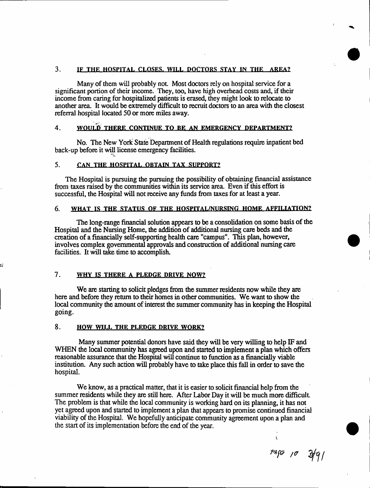# 3. IF THE HOSPITAL CLOSES. WILL DOCTORS STAY IN THE AREA?

Many of them will probably not. Most doctors rely on hospital service for a significant portion of their income. They, too, have high overhead costs and, if their income from caring for hospitalized patients is erased, they might look to relocate to another area. It would be extremely difficult to recruit doctors to an area with the closest referral hospital located 50 or more miles away.

# 4. WOULD THERE CONTINUE TO BE AN EMERGENCY DEPARTMENT?

No. The New York State Department of Health regulations require inpatient bed back-up before it will license emergency facilities.

# 5. CAN THE HOSPITAL OBTAIN TAX SUPPORT?

The Hospital is pursuing the pursuing the possibility of obtaining financial assistance from taxes raised by the communities within its service area. Even if this effort is successful, the Hospital will not receive any funds from taxes for at least a year.

## 6. WHAT IS THE STATUS OF THE HOSPITAL/NURSING HOME AFFILIATION!

The long-range financial solution appears to be a consolidation on some basis of the Hospital and the Nursing Home, the addition of additional nursing care beds and the creation of a financially self-supporting health care "campus". This plan, however, involves complex governmental approvals and construction of additional nursing care facilities. It will take time to accomplish.

# 7. WHY IS THERE A PLEDGE DRIVE NOW?

We are starting to solicit pledges from the summer residents now while they are here and before they return to their homes in other communities. We want to show the local community the amount of interest the summer community has in keeping the Hospital going.

# 8. HOW WILL THE PLEDGE DRIVE WORK?

Many summer potential donors have said they will be very willing to help IF and WHEN the local community has agreed upon and started to implement a plan which offers reasonable assurance that the Hospital will continue to function as a financially viable institution. Any such action will probably have to take place this fall in order to save the hospital.

We know, as a practical matter, that it is easier to solicit financial help from the summer residents while they are still here. After Labor Day it will be much more difficult. The problem is that while the local community is working hard on its planning, it has not yet agreed upon and started to implement a plan that appears to promise continued financial viability of the Hospital. We hopefully anticipate community agreement upon a plan and the start of its implementation before the end of the year.

*/C 3f-eji*